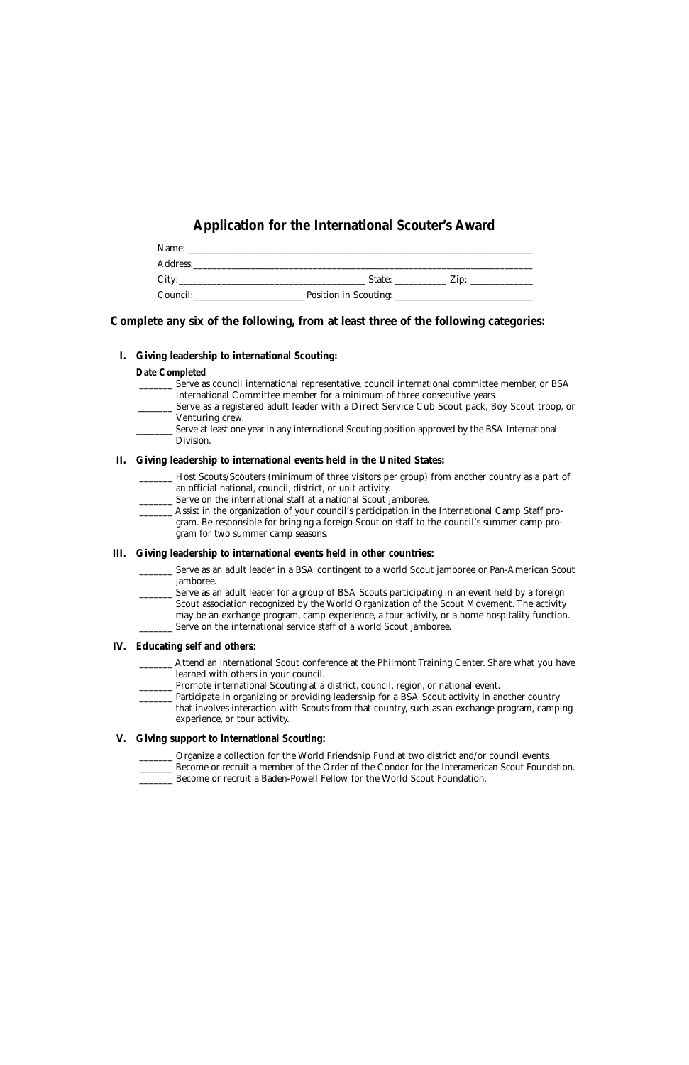# **Application for the International Scouter's Award**

| Name:    |                       |                  |  |
|----------|-----------------------|------------------|--|
| Address: |                       |                  |  |
| City:    | State:                | Zip <sup>-</sup> |  |
| Council: | Position in Scouting: |                  |  |

# **Complete any six of the following, from at least three of the following categories:**

### **I. Giving leadership to international Scouting:**

#### **Date Completed**

- \_\_\_\_\_\_\_ Serve as council international representative, council international committee member, or BSA International Committee member for a minimum of three consecutive years.
	- Serve as a registered adult leader with a Direct Service Cub Scout pack, Boy Scout troop, or Venturing crew.
	- Serve at least one year in any international Scouting position approved by the BSA International Division.

#### **II. Giving leadership to international events held in the United States:**

- \_\_\_\_\_\_\_ Host Scouts/Scouters (minimum of three visitors per group) from another country as a part of an official national, council, district, or unit activity.
- \_\_\_\_\_\_\_ Serve on the international staff at a national Scout jamboree.
	- \_\_\_\_\_\_\_ Assist in the organization of your council's participation in the International Camp Staff program. Be responsible for bringing a foreign Scout on staff to the council's summer camp program for two summer camp seasons.

# **III. Giving leadership to international events held in other countries:**

- \_\_\_\_\_\_\_ Serve as an adult leader in a BSA contingent to a world Scout jamboree or Pan-American Scout jamboree.
	- Serve as an adult leader for a group of BSA Scouts participating in an event held by a foreign Scout association recognized by the World Organization of the Scout Movement. The activity may be an exchange program, camp experience, a tour activity, or a home hospitality function. \_\_\_\_\_\_\_ Serve on the international service staff of a world Scout jamboree.

# **IV. Educating self and others:**

- Attend an international Scout conference at the Philmont Training Center. Share what you have learned with others in your council.
- \_\_\_\_\_\_\_ Promote international Scouting at a district, council, region, or national event.
	- Participate in organizing or providing leadership for a BSA Scout activity in another country that involves interaction with Scouts from that country, such as an exchange program, camping experience, or tour activity.

# **V. Giving support to international Scouting:**

\_\_\_\_\_\_\_ Organize a collection for the World Friendship Fund at two district and/or council events. \_\_\_\_\_\_\_ Become or recruit a member of the Order of the Condor for the Interamerican Scout Foundation. \_\_\_\_\_\_\_ Become or recruit a Baden-Powell Fellow for the World Scout Foundation.